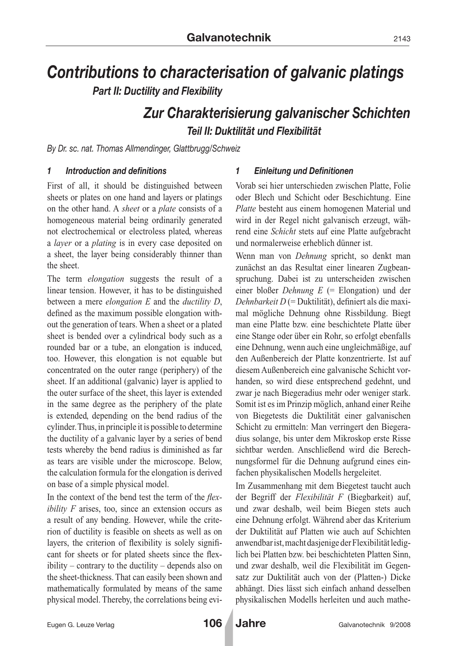# *Contributions to characterisation of galvanic platings Part II: Ductility and Flexibility*

# *Zur Charakterisierung galvanischer Schichten Teil II: Duktilität und Flexibilität*

*By Dr. sc. nat. Thomas Allmendinger, Glattbrugg/Schweiz*

### *1 Introduction and definitions*

First of all, it should be distinguished between sheets or plates on one hand and layers or platings on the other hand. A *sheet* or a *plate* consists of a homogeneous material being ordinarily generated not electrochemical or electroless plated, whereas a *layer* or a *plating* is in every case deposited on a sheet, the layer being considerably thinner than the sheet.

The term *elongation* suggests the result of a linear tension. However, it has to be distinguished between a mere *elongation E* and the *ductility D*, defined as the maximum possible elongation without the generation of tears. When a sheet or a plated sheet is bended over a cylindrical body such as a rounded bar or a tube, an elongation is induced, too. However, this elongation is not equable but concentrated on the outer range (periphery) of the sheet. If an additional (galvanic) layer is applied to the outer surface of the sheet, this layer is extended in the same degree as the periphery of the plate is extended, depending on the bend radius of the cylinder. Thus, in principle it is possible to determine the ductility of a galvanic layer by a series of bend tests whereby the bend radius is diminished as far as tears are visible under the microscope. Below, the calculation formula for the elongation is derived on base of a simple physical model.

In the context of the bend test the term of the *flexibility F* arises, too, since an extension occurs as a result of any bending. However, while the criterion of ductility is feasible on sheets as well as on layers, the criterion of flexibility is solely significant for sheets or for plated sheets since the flexibility – contrary to the ductility – depends also on the sheet-thickness. That can easily been shown and mathematically formulated by means of the same physical model. Thereby, the correlations being evi-

## *1 Einleitung und Definitionen*

Vorab sei hier unterschieden zwischen Platte, Folie oder Blech und Schicht oder Beschichtung. Eine *Platte* besteht aus einem homogenen Material und wird in der Regel nicht galvanisch erzeugt, während eine *Schicht* stets auf eine Platte aufgebracht und normalerweise erheblich dünner ist.

Wenn man von *Dehnung* spricht, so denkt man zunächst an das Resultat einer linearen Zugbeanspruchung. Dabei ist zu unterscheiden zwischen einer bloßer *Dehnung E* (= Elongation) und der *Dehnbarkeit D* (= Duktilität), definiert als die maximal mögliche Dehnung ohne Rissbildung. Biegt man eine Platte bzw. eine beschichtete Platte über eine Stange oder über ein Rohr, so erfolgt ebenfalls eine Dehnung, wenn auch eine ungleichmäßige, auf den Außenbereich der Platte konzentrierte. Ist auf diesem Außenbereich eine galvanische Schicht vorhanden, so wird diese entsprechend gedehnt, und zwar je nach Biegeradius mehr oder weniger stark. Somit ist es im Prinzip möglich, anhand einer Reihe von Biegetests die Duktilität einer galvanischen Schicht zu ermitteln: Man verringert den Biegeradius solange, bis unter dem Mikroskop erste Risse sichtbar werden. Anschließend wird die Berechnungsformel für die Dehnung aufgrund eines einfachen physikalischen Modells hergeleitet.

Im Zusammenhang mit dem Biegetest taucht auch der Begriff der *Flexibilität F* (Biegbarkeit) auf, und zwar deshalb, weil beim Biegen stets auch eine Dehnung erfolgt. Während aber das Kriterium der Duktilität auf Platten wie auch auf Schichten anwendbar ist, macht dasjenige der Flexibilität lediglich bei Platten bzw. bei beschichteten Platten Sinn, und zwar deshalb, weil die Flexibilität im Gegensatz zur Duktilität auch von der (Platten-) Dicke abhängt. Dies lässt sich einfach anhand desselben physikalischen Modells herleiten und auch mathe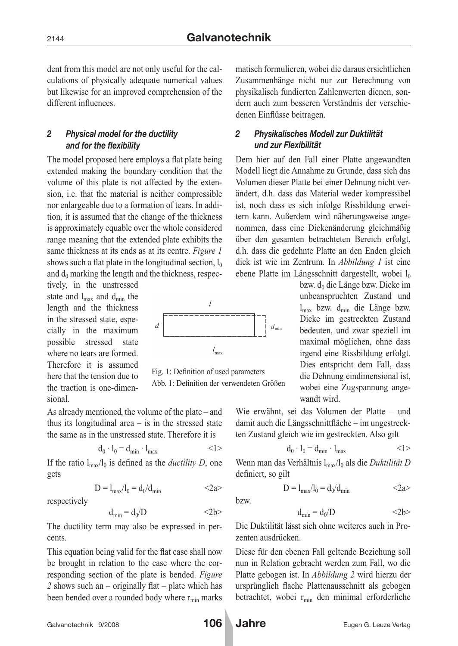dent from this model are not only useful for the calculations of physically adequate numerical values but likewise for an improved comprehension of the different influences.

## *2 Physical model for the ductility and for the flexibility*

The model proposed here employs a flat plate being extended making the boundary condition that the volume of this plate is not affected by the extension, i.e. that the material is neither compressible nor enlargeable due to a formation of tears. In addition, it is assumed that the change of the thickness is approximately equable over the whole considered range meaning that the extended plate exhibits the same thickness at its ends as at its centre. *Figure 1* shows such a flat plate in the longitudinal section,  $l_0$ and  $d_0$  marking the length and the thickness, respec-

tively, in the unstressed state and  $l_{\text{max}}$  and  $d_{\text{min}}$  the length and the thickness in the stressed state, especially in the maximum possible stressed state where no tears are formed. Therefore it is assumed here that the tension due to the traction is one-dimensional.



Fig. 1: Definition of used parameters Abb. 1: Definition der verwendeten Größen

As already mentioned, the volume of the plate – and thus its longitudinal area  $-$  is in the stressed state the same as in the unstressed state. Therefore it is

$$
d_0 \cdot l_0 = d_{min} \cdot l_{max} \hspace{2.6cm} <1>
$$

 $D = l_{\text{max}}/l_0 = d_0/d_{\text{min}}$  <2a>

If the ratio  $l_{\text{max}}/l_0$  is defined as the *ductility D*, one gets

respectively

$$
d_{min}=d_0/D\qquad \qquad <2b>
$$

The ductility term may also be expressed in percents.

This equation being valid for the flat case shall now be brought in relation to the case where the corresponding section of the plate is bended. *Figure 2* shows such an – originally flat – plate which has been bended over a rounded body where  $r_{\text{min}}$  marks matisch formulieren, wobei die daraus ersichtlichen Zusammenhänge nicht nur zur Berechnung von physikalisch fundierten Zahlenwerten dienen, sondern auch zum besseren Verständnis der verschiedenen Einflüsse beitragen.

# *2 Physikalisches Modell zur Duktilität und zur Flexibilität*

Dem hier auf den Fall einer Platte angewandten Modell liegt die Annahme zu Grunde, dass sich das Volumen dieser Platte bei einer Dehnung nicht verändert, d.h. dass das Material weder kompressibel ist, noch dass es sich infolge Rissbildung erweitern kann. Außerdem wird näherungsweise angenommen, dass eine Dickenänderung gleichmäßig über den gesamten betrachteten Bereich erfolgt, d.h. dass die gedehnte Platte an den Enden gleich dick ist wie im Zentrum. In *Abbildung 1* ist eine ebene Platte im Längsschnitt dargestellt, wobei  $l_0$ 

> bzw.  $d_0$  die Länge bzw. Dicke im unbeanspruchten Zustand und  $l_{\text{max}}$  bzw.  $d_{\text{min}}$  die Länge bzw. Dicke im gestreckten Zustand bedeuten, und zwar speziell im maximal möglichen, ohne dass irgend eine Rissbildung erfolgt. Dies entspricht dem Fall, dass die Dehnung eindimensional ist, wobei eine Zugspannung angewandt wird.

Wie erwähnt, sei das Volumen der Platte – und damit auch die Längsschnittfläche – im ungestreckten Zustand gleich wie im gestreckten. Also gilt

$$
d_0 \cdot l_0 = d_{\min} \cdot l_{\max} \qquad \qquad \langle 1 \rangle
$$

Wenn man das Verhältnis l<sub>max</sub>/l<sub>0</sub> als die *Duktilität D* definiert, so gilt

bzw.

$$
D=l_{max}/l_0=d_0/d_{min}\qquad \qquad <2a>
$$

$$
d_{\min} = d_0/D \qquad \qquad <2b>
$$

Die Duktilität lässt sich ohne weiteres auch in Prozenten ausdrücken.

Diese für den ebenen Fall geltende Beziehung soll nun in Relation gebracht werden zum Fall, wo die Platte gebogen ist. In *Abbildung 2* wird hierzu der ursprünglich flache Plattenausschnitt als gebogen betrachtet, wobei r<sub>min</sub> den minimal erforderliche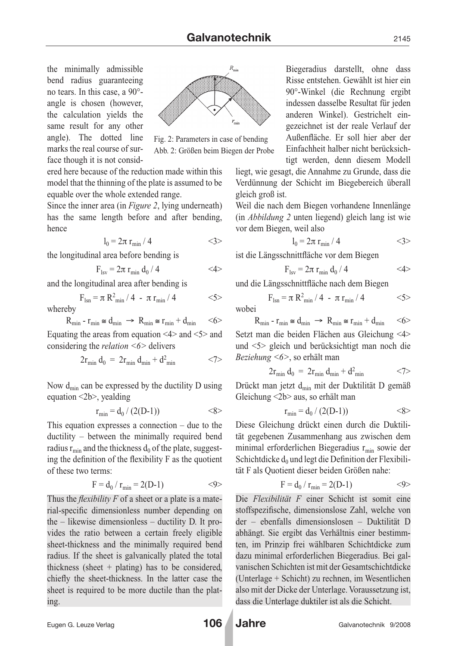the minimally admissible bend radius guaranteeing no tears. In this case, a 90° angle is chosen (however, the calculation yields the same result for any other angle). The dotted line marks the real course of surface though it is not consid-



Fig. 2: Parameters in case of bending Abb. 2: Größen beim Biegen der Probe

ered here because of the reduction made within this model that the thinning of the plate is assumed to be equable over the whole extended range.

Since the inner area (in *Figure 2*, lying underneath) has the same length before and after bending, hence

$$
l_0 = 2\pi r_{min} / 4 \qquad \qquad \langle 3 \rangle
$$

the longitudinal area before bending is

$$
F_{lsv}=2\pi\ r_{min}\ d_0\ /\ 4 \qquad \qquad <4>
$$

and the longitudinal area after bending is

$$
F_{\text{lsn}} = \pi R_{\text{min}}^2 / 4 - \pi r_{\text{min}} / 4 \qquad \qquad \text{<5>}
$$

whereby  
\n
$$
R_{\min} - r_{\min} \cong d_{\min} \implies R_{\min} \cong r_{\min} + d_{\min} \quad <6>
$$

Equating the areas from equation  $\leq 4$  and  $\leq 5$  and considering the *relation <6>* delivers

$$
2r_{\min} d_0 = 2r_{\min} d_{\min} + d^2_{\min} \qquad \qquad \langle 7 \rangle
$$

Now  $d_{\min}$  can be expressed by the ductility D using equation <2b>, yealding

$$
r_{min} = d_0 / (2(D-1)) \qquad \qquad \langle 8 \rangle
$$

This equation expresses a connection – due to the ductility – between the minimally required bend radius  $r_{\text{min}}$  and the thickness  $d_0$  of the plate, suggesting the definition of the flexibility F as the quotient of these two terms:

$$
F = d_0 / r_{min} = 2(D-1) \tag{9}
$$

Thus the *flexibility F* of a sheet or a plate is a material-specific dimensionless number depending on the – likewise dimensionless – ductility D. It provides the ratio between a certain freely eligible sheet-thickness and the minimally required bend radius. If the sheet is galvanically plated the total thickness (sheet + plating) has to be considered, chiefly the sheet-thickness. In the latter case the sheet is required to be more ductile than the plating.

Biegeradius darstellt, ohne dass Risse entstehen. Gewählt ist hier ein 90°-Winkel (die Rechnung ergibt indessen dasselbe Resultat für jeden anderen Winkel). Gestrichelt eingezeichnet ist der reale Verlauf der Außenfläche. Er soll hier aber der Einfachheit halber nicht berücksichtigt werden, denn diesem Modell

liegt, wie gesagt, die Annahme zu Grunde, dass die Verdünnung der Schicht im Biegebereich überall gleich groß ist.

Weil die nach dem Biegen vorhandene Innenlänge (in *Abbildung 2* unten liegend) gleich lang ist wie vor dem Biegen, weil also

$$
l_0 = 2\pi r_{\min} / 4 \qquad \qquad \langle 3 \rangle
$$

ist die Längsschnittfläche vor dem Biegen

$$
F_{lsv}=2\pi\;r_{min}\;d_0\;/\;4\qquad \qquad <4\qquad
$$

und die Längsschnittfläche nach dem Biegen

$$
F_{\rm{lsn}} = \pi R_{\rm{min}}^2 / 4 - \pi r_{\rm{min}} / 4 \qquad \qquad <5>
$$

wobei

$$
R_{\min} - r_{\min} \cong d_{\min} \implies R_{\min} \cong r_{\min} + d_{\min} \qquad \text{<6>}
$$

Setzt man die beiden Flächen aus Gleichung <4> und <5> gleich und berücksichtigt man noch die *Beziehung <6>*, so erhält man

$$
2r_{\min} d_0 = 2r_{\min} d_{\min} + d_{\min}^2 \qquad \qquad \langle 7 \rangle
$$

Drückt man jetzt d<sub>min</sub> mit der Duktilität D gemäß Gleichung <2b> aus, so erhält man

$$
r_{\min} = d_0 / (2(D-1)) \qquad \qquad \ll 8 >
$$

Diese Gleichung drückt einen durch die Duktilität gegebenen Zusammenhang aus zwischen dem minimal erforderlichen Biegeradius  $r_{\text{min}}$  sowie der Schichtdicke  $d_0$  und legt die Definition der Flexibilität F als Quotient dieser beiden Größen nahe:

$$
F = d_0 / r_{min} = 2(D-1) \tag{9}
$$

Die *Flexibilität F* einer Schicht ist somit eine stoffspezifische, dimensionslose Zahl, welche von der – ebenfalls dimensionslosen – Duktilität D abhängt. Sie ergibt das Verhältnis einer bestimmten, im Prinzip frei wählbaren Schichtdicke zum dazu minimal erforderlichen Biegeradius. Bei galvanischen Schichten ist mit der Gesamtschichtdicke (Unterlage + Schicht) zu rechnen, im Wesentlichen also mit der Dicke der Unterlage. Voraussetzung ist, dass die Unterlage duktiler ist als die Schicht.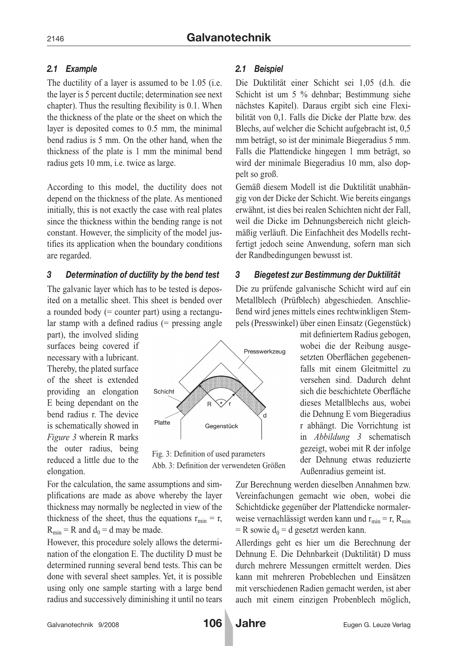# *2.1 Example*

The ductility of a layer is assumed to be 1.05 (i.e. the layer is 5 percent ductile; determination see next chapter). Thus the resulting flexibility is 0.1. When the thickness of the plate or the sheet on which the layer is deposited comes to 0.5 mm, the minimal bend radius is 5 mm. On the other hand, when the thickness of the plate is 1 mm the minimal bend radius gets 10 mm, i.e. twice as large.

According to this model, the ductility does not depend on the thickness of the plate. As mentioned initially, this is not exactly the case with real plates since the thickness within the bending range is not constant. However, the simplicity of the model justifies its application when the boundary conditions are regarded.

# *3 Determination of ductility by the bend test*

The galvanic layer which has to be tested is deposited on a metallic sheet. This sheet is bended over a rounded body  $(=$  counter part) using a rectangular stamp with a defined radius (= pressing angle

part), the involved sliding surfaces being covered if necessary with a lubricant. Thereby, the plated surface of the sheet is extended providing an elongation E being dependant on the bend radius r. The device is schematically showed in *Figure 3* wherein R marks the outer radius, being reduced a little due to the elongation.



Fig. 3: Definition of used parameters Abb. 3: Definition der verwendeten Größen

For the calculation, the same assumptions and simplifications are made as above whereby the layer thickness may normally be neglected in view of the thickness of the sheet, thus the equations  $r_{\text{min}} = r$ ,  $R_{\text{min}} = R$  and  $d_0 = d$  may be made.

However, this procedure solely allows the determination of the elongation E. The ductility D must be determined running several bend tests. This can be done with several sheet samples. Yet, it is possible using only one sample starting with a large bend radius and successively diminishing it until no tears

# *2.1 Beispiel*

Die Duktilität einer Schicht sei 1,05 (d.h. die Schicht ist um 5 % dehnbar; Bestimmung siehe nächstes Kapitel). Daraus ergibt sich eine Flexibilität von 0,1. Falls die Dicke der Platte bzw. des Blechs, auf welcher die Schicht aufgebracht ist, 0,5 mm beträgt, so ist der minimale Biegeradius 5 mm. Falls die Plattendicke hingegen 1 mm beträgt, so wird der minimale Biegeradius 10 mm, also doppelt so groß.

Gemäß diesem Modell ist die Duktilität unabhängig von der Dicke der Schicht. Wie bereits eingangs erwähnt, ist dies bei realen Schichten nicht der Fall, weil die Dicke im Dehnungsbereich nicht gleichmäßig verläuft. Die Einfachheit des Modells rechtfertigt jedoch seine Anwendung, sofern man sich der Randbedingungen bewusst ist.

# *3 Biegetest zur Bestimmung der Duktilität*

Die zu prüfende galvanische Schicht wird auf ein Metallblech (Prüfblech) abgeschieden. Anschließend wird jenes mittels eines rechtwinkligen Stempels (Presswinkel) über einen Einsatz (Gegenstück)

> mit definiertem Radius gebogen, wobei die der Reibung ausgesetzten Oberflächen gegebenenfalls mit einem Gleitmittel zu versehen sind. Dadurch dehnt sich die beschichtete Oberfläche dieses Metallblechs aus, wobei die Dehnung E vom Biegeradius r abhängt. Die Vorrichtung ist in *Abbildung 3* schematisch gezeigt, wobei mit R der infolge der Dehnung etwas reduzierte Außenradius gemeint ist.

Zur Berechnung werden dieselben Annahmen bzw. Vereinfachungen gemacht wie oben, wobei die Schichtdicke gegenüber der Plattendicke normalerweise vernachlässigt werden kann und  $r_{\text{min}} = r$ , R<sub>min</sub>  $=$  R sowie  $d_0$  = d gesetzt werden kann.

Allerdings geht es hier um die Berechnung der Dehnung E. Die Dehnbarkeit (Duktilität) D muss durch mehrere Messungen ermittelt werden. Dies kann mit mehreren Probeblechen und Einsätzen mit verschiedenen Radien gemacht werden, ist aber auch mit einem einzigen Probenblech möglich,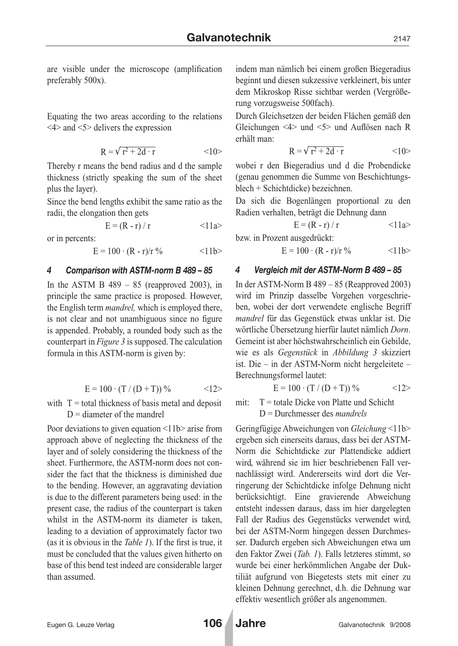are visible under the microscope (amplification preferably 500x).

Equating the two areas according to the relations <4> and <5> delivers the expression

$$
R = \sqrt{r^2 + 2d \cdot r} \qquad \qquad <10>
$$

Thereby r means the bend radius and d the sample thickness (strictly speaking the sum of the sheet plus the layer).

Since the bend lengths exhibit the same ratio as the radii, the elongation then gets

$$
E = (R - r) / r
$$
  $\langle 11a \rangle$ 

or in percents:

 $E = 100 \cdot (R - r)/r$  % <11b>

#### *4 Comparison with ASTM-norm B 489 – 85*

In the ASTM B  $489 - 85$  (reapproved 2003), in principle the same practice is proposed. However, the English term *mandrel,* which is employed there, is not clear and not unambiguous since no figure is appended. Probably, a rounded body such as the counterpart in *Figure 3* is supposed. The calculation formula in this ASTM-norm is given by:

$$
E = 100 \cdot (T / (D + T)) % \qquad \qquad <12>
$$

with  $T =$  total thickness of basis metal and deposit  $D =$  diameter of the mandrel

Poor deviations to given equation <11b> arise from approach above of neglecting the thickness of the layer and of solely considering the thickness of the sheet. Furthermore, the ASTM-norm does not consider the fact that the thickness is diminished due to the bending. However, an aggravating deviation is due to the different parameters being used: in the present case, the radius of the counterpart is taken whilst in the ASTM-norm its diameter is taken, leading to a deviation of approximately factor two (as it is obvious in the *Table 1*). If the first is true, it must be concluded that the values given hitherto on base of this bend test indeed are considerable larger than assumed.

indem man nämlich bei einem großen Biegeradius beginnt und diesen sukzessive verkleinert, bis unter dem Mikroskop Risse sichtbar werden (Vergrößerung vorzugsweise 500fach).

Durch Gleichsetzen der beiden Flächen gemäß den Gleichungen <4> und <5> und Auflösen nach R erhält man:

$$
R = \sqrt{r^2 + 2d \cdot r} \qquad \qquad <10>
$$

wobei r den Biegeradius und d die Probendicke (genau genommen die Summe von Beschichtungsblech + Schichtdicke) bezeichnen.

Da sich die Bogenlängen proportional zu den Radien verhalten, beträgt die Dehnung dann

$$
E = (R - r) / r
$$
  $\langle 11a \rangle$ 

bzw. in Prozent ausgedrückt:

$$
E = 100 \cdot (R - r)/r \, \%
$$
 
$$
\langle 11b \rangle
$$

#### *4 Vergleich mit der ASTM-Norm B 489 – 85*

In der ASTM-Norm B 489 – 85 (Reapproved 2003) wird im Prinzip dasselbe Vorgehen vorgeschrieben, wobei der dort verwendete englische Begriff *mandrel* für das Gegenstück etwas unklar ist. Die wörtliche Übersetzung hierfür lautet nämlich *Dorn*. Gemeint ist aber höchstwahrscheinlich ein Gebilde, wie es als *Gegenstück* in *Abbildung 3* skizziert ist. Die – in der ASTM-Norm nicht hergeleitete – Berechnungsformel lautet:

$$
E = 100 \cdot (T / (D + T)) % \qquad \qquad <12>
$$

mit:  $T =$  totale Dicke von Platte und Schicht D = Durchmesser des *mandrels*

Geringfügige Abweichungen von *Gleichung* <11b> ergeben sich einerseits daraus, dass bei der ASTM-Norm die Schichtdicke zur Plattendicke addiert wird, während sie im hier beschriebenen Fall vernachlässigt wird. Andererseits wird dort die Verringerung der Schichtdicke infolge Dehnung nicht berücksichtigt. Eine gravierende Abweichung entsteht indessen daraus, dass im hier dargelegten Fall der Radius des Gegenstücks verwendet wird, bei der ASTM-Norm hingegen dessen Durchmesser. Dadurch ergeben sich Abweichungen etwa um den Faktor Zwei (*Tab. 1*). Falls letzteres stimmt, so wurde bei einer herkömmlichen Angabe der Duktiliät aufgrund von Biegetests stets mit einer zu kleinen Dehnung gerechnet, d.h. die Dehnung war effektiv wesentlich größer als angenommen.